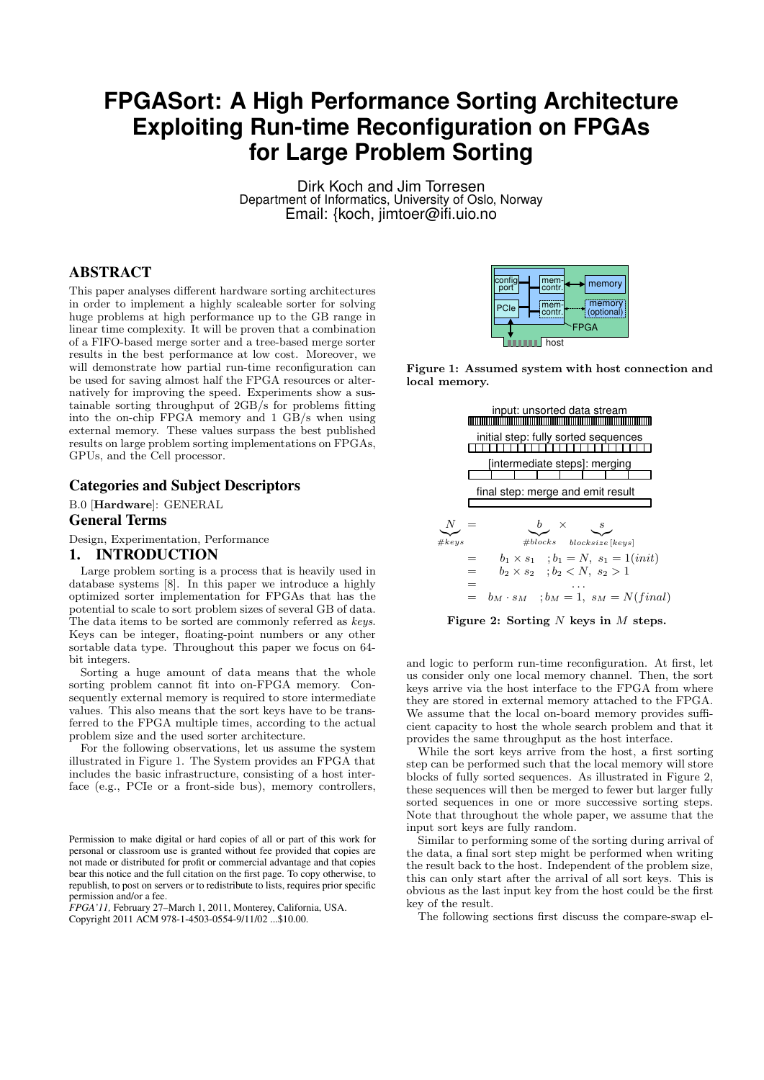# **FPGASort: A High Performance Sorting Architecture Exploiting Run-time Reconfiguration on FPGAs for Large Problem Sorting**

Dirk Koch and Jim Torresen Department of Informatics, University of Oslo, Norway Email: {koch, jimtoer@ifi.uio.no

## ABSTRACT

This paper analyses different hardware sorting architectures in order to implement a highly scaleable sorter for solving huge problems at high performance up to the GB range in linear time complexity. It will be proven that a combination of a FIFO-based merge sorter and a tree-based merge sorter results in the best performance at low cost. Moreover, we will demonstrate how partial run-time reconfiguration can be used for saving almost half the FPGA resources or alternatively for improving the speed. Experiments show a sustainable sorting throughput of 2GB/s for problems fitting into the on-chip FPGA memory and 1 GB/s when using external memory. These values surpass the best published results on large problem sorting implementations on FPGAs, GPUs, and the Cell processor.

# Categories and Subject Descriptors

B.0 [Hardware]: GENERAL

# General Terms

Design, Experimentation, Performance

## 1. INTRODUCTION

Large problem sorting is a process that is heavily used in database systems [8]. In this paper we introduce a highly optimized sorter implementation for FPGAs that has the potential to scale to sort problem sizes of several GB of data. The data items to be sorted are commonly referred as keys. Keys can be integer, floating-point numbers or any other sortable data type. Throughout this paper we focus on 64 bit integers.

Sorting a huge amount of data means that the whole sorting problem cannot fit into on-FPGA memory. Consequently external memory is required to store intermediate values. This also means that the sort keys have to be transferred to the FPGA multiple times, according to the actual problem size and the used sorter architecture.

For the following observations, let us assume the system illustrated in Figure 1. The System provides an FPGA that includes the basic infrastructure, consisting of a host interface (e.g., PCIe or a front-side bus), memory controllers,

Permission to make digital or hard copies of all or part of this work for personal or classroom use is granted without fee provided that copies are not made or distributed for profit or commercial advantage and that copies bear this notice and the full citation on the first page. To copy otherwise, to republish, to post on servers or to redistribute to lists, requires prior specific permission and/or a fee.

*FPGA'11,* February 27–March 1, 2011, Monterey, California, USA. Copyright 2011 ACM 978-1-4503-0554-9/11/02 ...\$10.00.



Figure 1: Assumed system with host connection and local memory.

|          | input: unsorted data stream                     |  |  |  |  |  |  |
|----------|-------------------------------------------------|--|--|--|--|--|--|
|          | initial step: fully sorted sequences            |  |  |  |  |  |  |
|          | [intermediate steps]: merging                   |  |  |  |  |  |  |
|          | final step: merge and emit result               |  |  |  |  |  |  |
|          |                                                 |  |  |  |  |  |  |
| $\#keys$ | $#blocks \t blocksize [keys]$                   |  |  |  |  |  |  |
|          | $b_1 \times s_1$ ; $b_1 = N$ , $s_1 = 1 (init)$ |  |  |  |  |  |  |
|          | $b_2 \times s_2$ ; $b_2 < N$ , $s_2 > 1$        |  |  |  |  |  |  |
|          |                                                 |  |  |  |  |  |  |
|          | $b_M \cdot s_M$ ; $b_M = 1$ , $s_M = N(final)$  |  |  |  |  |  |  |

Figure 2: Sorting  $N$  keys in  $M$  steps.

and logic to perform run-time reconfiguration. At first, let us consider only one local memory channel. Then, the sort keys arrive via the host interface to the FPGA from where they are stored in external memory attached to the FPGA. We assume that the local on-board memory provides sufficient capacity to host the whole search problem and that it provides the same throughput as the host interface.

While the sort keys arrive from the host, a first sorting step can be performed such that the local memory will store blocks of fully sorted sequences. As illustrated in Figure 2, these sequences will then be merged to fewer but larger fully sorted sequences in one or more successive sorting steps. Note that throughout the whole paper, we assume that the input sort keys are fully random.

Similar to performing some of the sorting during arrival of the data, a final sort step might be performed when writing the result back to the host. Independent of the problem size, this can only start after the arrival of all sort keys. This is obvious as the last input key from the host could be the first key of the result.

The following sections first discuss the compare-swap el-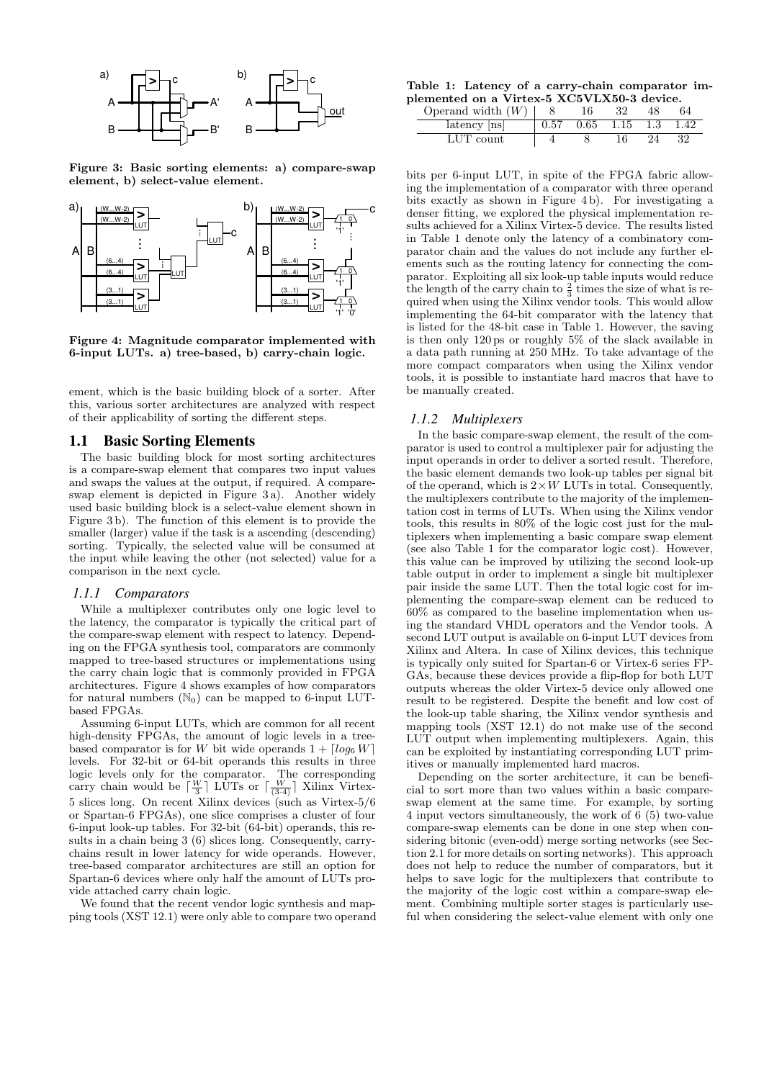

Figure 3: Basic sorting elements: a) compare-swap element, b) select-value element.



Figure 4: Magnitude comparator implemented with 6-input LUTs. a) tree-based, b) carry-chain logic.

ement, which is the basic building block of a sorter. After this, various sorter architectures are analyzed with respect of their applicability of sorting the different steps.

#### 1.1 Basic Sorting Elements

The basic building block for most sorting architectures is a compare-swap element that compares two input values and swaps the values at the output, if required. A compareswap element is depicted in Figure 3 a). Another widely used basic building block is a select-value element shown in Figure 3 b). The function of this element is to provide the smaller (larger) value if the task is a ascending (descending) sorting. Typically, the selected value will be consumed at the input while leaving the other (not selected) value for a comparison in the next cycle.

#### *1.1.1 Comparators*

While a multiplexer contributes only one logic level to the latency, the comparator is typically the critical part of the compare-swap element with respect to latency. Depending on the FPGA synthesis tool, comparators are commonly mapped to tree-based structures or implementations using the carry chain logic that is commonly provided in FPGA architectures. Figure 4 shows examples of how comparators for natural numbers  $(N_0)$  can be mapped to 6-input LUTbased FPGAs.

Assuming 6-input LUTs, which are common for all recent high-density FPGAs, the amount of logic levels in a treebased comparator is for W bit wide operands  $1 + \lceil log_6 W \rceil$ levels. For 32-bit or 64-bit operands this results in three logic levels only for the comparator. The corresponding carry chain would be  $\lceil \frac{W}{3} \rceil$  LUTs or  $\lceil \frac{W}{(3\cdot 4)} \rceil$  Xilinx Virtex-5 slices long. On recent Xilinx devices (such as Virtex-5/6 or Spartan-6 FPGAs), one slice comprises a cluster of four 6-input look-up tables. For 32-bit (64-bit) operands, this results in a chain being 3 (6) slices long. Consequently, carrychains result in lower latency for wide operands. However, tree-based comparator architectures are still an option for Spartan-6 devices where only half the amount of LUTs provide attached carry chain logic.

We found that the recent vendor logic synthesis and mapping tools (XST 12.1) were only able to compare two operand

#### Table 1: Latency of a carry-chain comparator implemented on a Virtex-5 XC5VLX50-3 device.

| Operand width $(W)$ |      | 16 | 32              | 48 | 64   |
|---------------------|------|----|-----------------|----|------|
| latency [ns]        | 0.57 |    | $0.65$ 1.15 1.3 |    | 1.42 |
| LUT count           |      |    | 16              | 24 | 32   |

bits per 6-input LUT, in spite of the FPGA fabric allowing the implementation of a comparator with three operand bits exactly as shown in Figure 4 b). For investigating a denser fitting, we explored the physical implementation results achieved for a Xilinx Virtex-5 device. The results listed in Table 1 denote only the latency of a combinatory comparator chain and the values do not include any further elements such as the routing latency for connecting the comparator. Exploiting all six look-up table inputs would reduce the length of the carry chain to  $\frac{2}{3}$  times the size of what is required when using the Xilinx vendor tools. This would allow implementing the 64-bit comparator with the latency that is listed for the 48-bit case in Table 1. However, the saving is then only 120 ps or roughly 5% of the slack available in a data path running at 250 MHz. To take advantage of the more compact comparators when using the Xilinx vendor tools, it is possible to instantiate hard macros that have to be manually created.

#### *1.1.2 Multiplexers*

In the basic compare-swap element, the result of the comparator is used to control a multiplexer pair for adjusting the input operands in order to deliver a sorted result. Therefore, the basic element demands two look-up tables per signal bit of the operand, which is  $2 \times W$  LUTs in total. Consequently, the multiplexers contribute to the majority of the implementation cost in terms of LUTs. When using the Xilinx vendor tools, this results in 80% of the logic cost just for the multiplexers when implementing a basic compare swap element (see also Table 1 for the comparator logic cost). However, this value can be improved by utilizing the second look-up table output in order to implement a single bit multiplexer pair inside the same LUT. Then the total logic cost for implementing the compare-swap element can be reduced to 60% as compared to the baseline implementation when using the standard VHDL operators and the Vendor tools. A second LUT output is available on 6-input LUT devices from Xilinx and Altera. In case of Xilinx devices, this technique is typically only suited for Spartan-6 or Virtex-6 series FP-GAs, because these devices provide a flip-flop for both LUT outputs whereas the older Virtex-5 device only allowed one result to be registered. Despite the benefit and low cost of the look-up table sharing, the Xilinx vendor synthesis and mapping tools (XST 12.1) do not make use of the second LUT output when implementing multiplexers. Again, this can be exploited by instantiating corresponding LUT primitives or manually implemented hard macros.

Depending on the sorter architecture, it can be beneficial to sort more than two values within a basic compareswap element at the same time. For example, by sorting 4 input vectors simultaneously, the work of 6 (5) two-value compare-swap elements can be done in one step when considering bitonic (even-odd) merge sorting networks (see Section 2.1 for more details on sorting networks). This approach does not help to reduce the number of comparators, but it helps to save logic for the multiplexers that contribute to the majority of the logic cost within a compare-swap element. Combining multiple sorter stages is particularly useful when considering the select-value element with only one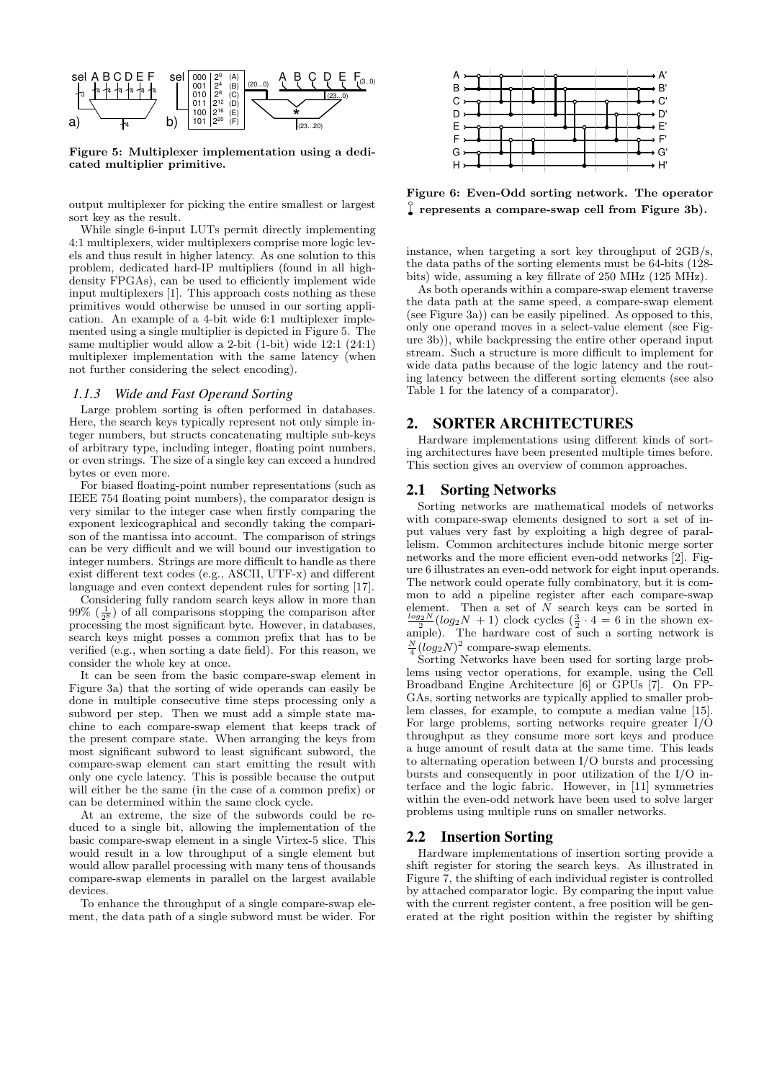

Figure 5: Multiplexer implementation using a dedicated multiplier primitive.

output multiplexer for picking the entire smallest or largest sort key as the result.

While single 6-input LUTs permit directly implementing 4:1 multiplexers, wider multiplexers comprise more logic levels and thus result in higher latency. As one solution to this problem, dedicated hard-IP multipliers (found in all highdensity FPGAs), can be used to efficiently implement wide input multiplexers [1]. This approach costs nothing as these primitives would otherwise be unused in our sorting application. An example of a 4-bit wide 6:1 multiplexer implemented using a single multiplier is depicted in Figure 5. The same multiplier would allow a 2-bit (1-bit) wide 12:1 (24:1) multiplexer implementation with the same latency (when not further considering the select encoding).

#### *1.1.3 Wide and Fast Operand Sorting*

Large problem sorting is often performed in databases. Here, the search keys typically represent not only simple integer numbers, but structs concatenating multiple sub-keys of arbitrary type, including integer, floating point numbers, or even strings. The size of a single key can exceed a hundred bytes or even more.

For biased floating-point number representations (such as IEEE 754 floating point numbers), the comparator design is very similar to the integer case when firstly comparing the exponent lexicographical and secondly taking the comparison of the mantissa into account. The comparison of strings can be very difficult and we will bound our investigation to integer numbers. Strings are more difficult to handle as there exist different text codes (e.g., ASCII, UTF-x) and different language and even context dependent rules for sorting [17].

Considering fully random search keys allow in more than 99%  $(\frac{1}{2^8})$  of all comparisons stopping the comparison after processing the most significant byte. However, in databases, search keys might posses a common prefix that has to be verified (e.g., when sorting a date field). For this reason, we consider the whole key at once.

It can be seen from the basic compare-swap element in Figure 3a) that the sorting of wide operands can easily be done in multiple consecutive time steps processing only a subword per step. Then we must add a simple state machine to each compare-swap element that keeps track of the present compare state. When arranging the keys from most significant subword to least significant subword, the compare-swap element can start emitting the result with only one cycle latency. This is possible because the output will either be the same (in the case of a common prefix) or can be determined within the same clock cycle.

At an extreme, the size of the subwords could be reduced to a single bit, allowing the implementation of the basic compare-swap element in a single Virtex-5 slice. This would result in a low throughput of a single element but would allow parallel processing with many tens of thousands compare-swap elements in parallel on the largest available devices.

To enhance the throughput of a single compare-swap element, the data path of a single subword must be wider. For



Figure 6: Even-Odd sorting network. The operator  $\int$  represents a compare-swap cell from Figure 3b).

instance, when targeting a sort key throughput of 2GB/s, the data paths of the sorting elements must be 64-bits (128 bits) wide, assuming a key fillrate of 250 MHz (125 MHz).

As both operands within a compare-swap element traverse the data path at the same speed, a compare-swap element (see Figure 3a)) can be easily pipelined. As opposed to this, only one operand moves in a select-value element (see Figure 3b)), while backpressing the entire other operand input stream. Such a structure is more difficult to implement for wide data paths because of the logic latency and the routing latency between the different sorting elements (see also Table 1 for the latency of a comparator).

## 2. SORTER ARCHITECTURES

Hardware implementations using different kinds of sorting architectures have been presented multiple times before. This section gives an overview of common approaches.

#### 2.1 Sorting Networks

Sorting networks are mathematical models of networks with compare-swap elements designed to sort a set of input values very fast by exploiting a high degree of parallelism. Common architectures include bitonic merge sorter networks and the more efficient even-odd networks [2]. Figure 6 illustrates an even-odd network for eight input operands. The network could operate fully combinatory, but it is common to add a pipeline register after each compare-swap element. Then a set of  $N$  search keys can be sorted in  $\frac{\log_2 N}{2}(\log_2 N + 1)$  clock cycles  $(\frac{3}{2} \cdot 4 = 6$  in the shown example). The hardware cost of such a sorting network is  $\frac{N}{4}$  $(log_2 N)^2$  compare-swap elements.

Sorting Networks have been used for sorting large problems using vector operations, for example, using the Cell Broadband Engine Architecture [6] or GPUs [7]. On FP-GAs, sorting networks are typically applied to smaller problem classes, for example, to compute a median value [15]. For large problems, sorting networks require greater I/O throughput as they consume more sort keys and produce a huge amount of result data at the same time. This leads to alternating operation between I/O bursts and processing bursts and consequently in poor utilization of the I/O interface and the logic fabric. However, in [11] symmetries within the even-odd network have been used to solve larger problems using multiple runs on smaller networks.

### 2.2 Insertion Sorting

Hardware implementations of insertion sorting provide a shift register for storing the search keys. As illustrated in Figure 7, the shifting of each individual register is controlled by attached comparator logic. By comparing the input value with the current register content, a free position will be generated at the right position within the register by shifting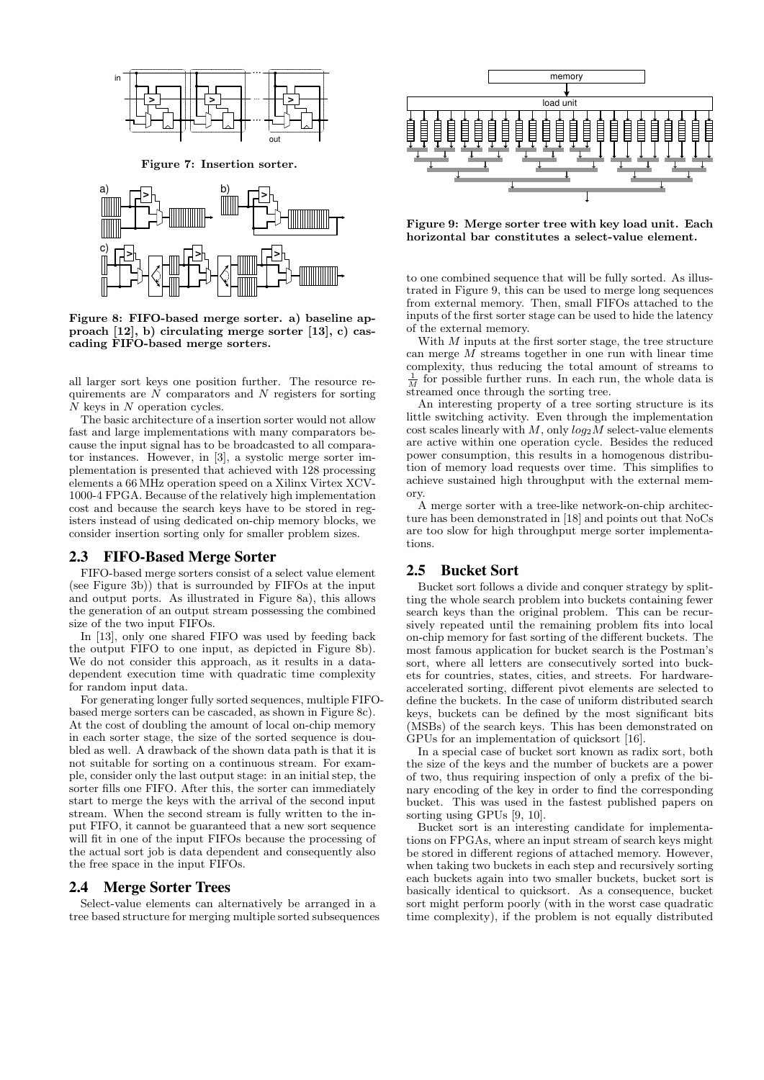

Figure 7: Insertion sorter.



Figure 8: FIFO-based merge sorter. a) baseline approach [12], b) circulating merge sorter [13], c) cascading FIFO-based merge sorters.

all larger sort keys one position further. The resource requirements are  $N$  comparators and  $N$  registers for sorting N keys in N operation cycles.

The basic architecture of a insertion sorter would not allow fast and large implementations with many comparators because the input signal has to be broadcasted to all comparator instances. However, in [3], a systolic merge sorter implementation is presented that achieved with 128 processing elements a 66 MHz operation speed on a Xilinx Virtex XCV-1000-4 FPGA. Because of the relatively high implementation cost and because the search keys have to be stored in registers instead of using dedicated on-chip memory blocks, we consider insertion sorting only for smaller problem sizes.

#### 2.3 FIFO-Based Merge Sorter

FIFO-based merge sorters consist of a select value element (see Figure 3b)) that is surrounded by FIFOs at the input and output ports. As illustrated in Figure 8a), this allows the generation of an output stream possessing the combined size of the two input FIFOs.

In [13], only one shared FIFO was used by feeding back the output FIFO to one input, as depicted in Figure 8b). We do not consider this approach, as it results in a datadependent execution time with quadratic time complexity for random input data.

For generating longer fully sorted sequences, multiple FIFObased merge sorters can be cascaded, as shown in Figure 8c). At the cost of doubling the amount of local on-chip memory in each sorter stage, the size of the sorted sequence is doubled as well. A drawback of the shown data path is that it is not suitable for sorting on a continuous stream. For example, consider only the last output stage: in an initial step, the sorter fills one FIFO. After this, the sorter can immediately start to merge the keys with the arrival of the second input stream. When the second stream is fully written to the input FIFO, it cannot be guaranteed that a new sort sequence will fit in one of the input FIFOs because the processing of the actual sort job is data dependent and consequently also the free space in the input FIFOs.

## 2.4 Merge Sorter Trees

Select-value elements can alternatively be arranged in a tree based structure for merging multiple sorted subsequences



Figure 9: Merge sorter tree with key load unit. Each horizontal bar constitutes a select-value element.

to one combined sequence that will be fully sorted. As illustrated in Figure 9, this can be used to merge long sequences from external memory. Then, small FIFOs attached to the inputs of the first sorter stage can be used to hide the latency of the external memory.

With  $M$  inputs at the first sorter stage, the tree structure can merge M streams together in one run with linear time complexity, thus reducing the total amount of streams to  $\frac{1}{M}$  for possible further runs. In each run, the whole data is streamed once through the sorting tree.

An interesting property of a tree sorting structure is its little switching activity. Even through the implementation cost scales linearly with  $M$ , only  $log_2 M$  select-value elements are active within one operation cycle. Besides the reduced power consumption, this results in a homogenous distribution of memory load requests over time. This simplifies to achieve sustained high throughput with the external memory.

A merge sorter with a tree-like network-on-chip architecture has been demonstrated in [18] and points out that NoCs are too slow for high throughput merge sorter implementations.

## 2.5 Bucket Sort

Bucket sort follows a divide and conquer strategy by splitting the whole search problem into buckets containing fewer search keys than the original problem. This can be recursively repeated until the remaining problem fits into local on-chip memory for fast sorting of the different buckets. The most famous application for bucket search is the Postman's sort, where all letters are consecutively sorted into buckets for countries, states, cities, and streets. For hardwareaccelerated sorting, different pivot elements are selected to define the buckets. In the case of uniform distributed search keys, buckets can be defined by the most significant bits (MSBs) of the search keys. This has been demonstrated on GPUs for an implementation of quicksort [16].

In a special case of bucket sort known as radix sort, both the size of the keys and the number of buckets are a power of two, thus requiring inspection of only a prefix of the binary encoding of the key in order to find the corresponding bucket. This was used in the fastest published papers on sorting using GPUs [9, 10].

Bucket sort is an interesting candidate for implementations on FPGAs, where an input stream of search keys might be stored in different regions of attached memory. However, when taking two buckets in each step and recursively sorting each buckets again into two smaller buckets, bucket sort is basically identical to quicksort. As a consequence, bucket sort might perform poorly (with in the worst case quadratic time complexity), if the problem is not equally distributed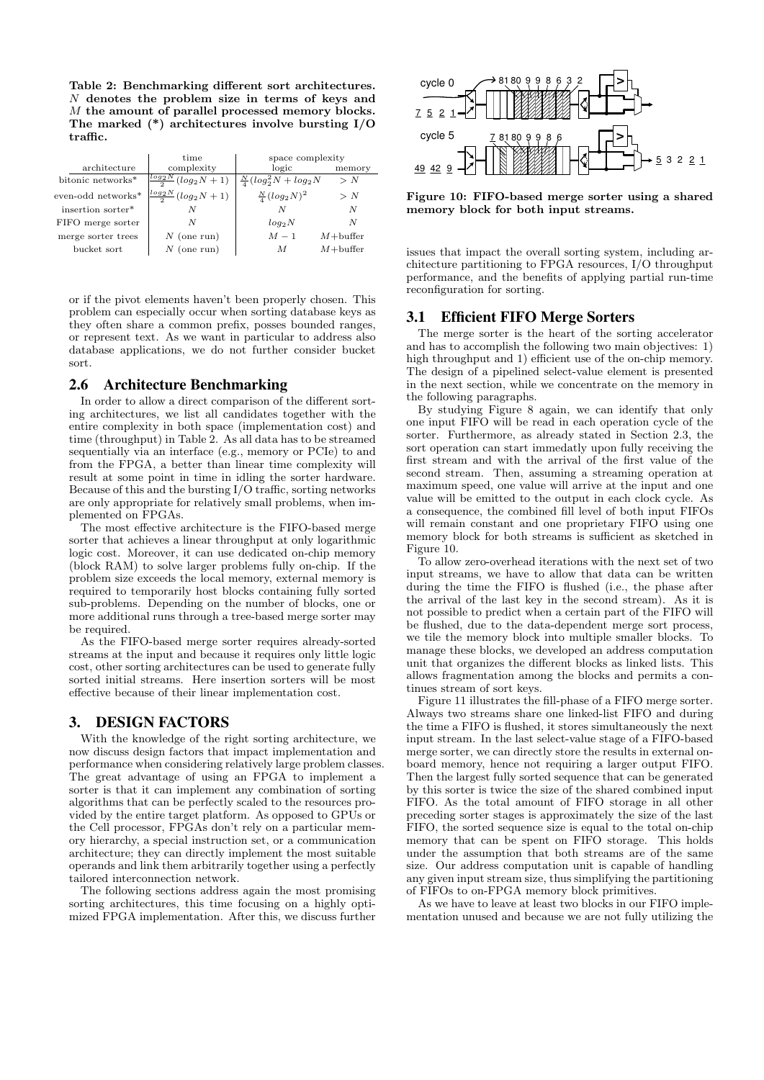Table 2: Benchmarking different sort architectures.  $N$  denotes the problem size in terms of keys and M the amount of parallel processed memory blocks. The marked (\*) architectures involve bursting I/O traffic.

|                    | time                                |                                   | space complexity    |  |  |
|--------------------|-------------------------------------|-----------------------------------|---------------------|--|--|
| architecture       | complexity                          | logic                             | memory              |  |  |
| bitonic networks*  | $log_2 N$<br>$(log_2 N + 1)$        | $\frac{N}{4}(log_2^2 N + log_2 N$ | > N                 |  |  |
| even-odd networks* | $\frac{\log_2 N}{2} (\log_2 N + 1)$ | $\frac{N}{4}(\log_2 N)^2$         | > N                 |  |  |
| insertion sorter*  |                                     | N                                 | N                   |  |  |
| FIFO merge sorter  |                                     | $log_2 N$                         | N                   |  |  |
| merge sorter trees | $N$ (one run)                       | $M-1$                             | $M + \text{buffer}$ |  |  |
| bucket sort        | $N$ (one run)                       | М                                 | $M + \text{buffer}$ |  |  |

or if the pivot elements haven't been properly chosen. This problem can especially occur when sorting database keys as they often share a common prefix, posses bounded ranges, or represent text. As we want in particular to address also database applications, we do not further consider bucket sort.

## 2.6 Architecture Benchmarking

In order to allow a direct comparison of the different sorting architectures, we list all candidates together with the entire complexity in both space (implementation cost) and time (throughput) in Table 2. As all data has to be streamed sequentially via an interface (e.g., memory or PCIe) to and from the FPGA, a better than linear time complexity will result at some point in time in idling the sorter hardware. Because of this and the bursting I/O traffic, sorting networks are only appropriate for relatively small problems, when implemented on FPGAs.

The most effective architecture is the FIFO-based merge sorter that achieves a linear throughput at only logarithmic logic cost. Moreover, it can use dedicated on-chip memory (block RAM) to solve larger problems fully on-chip. If the problem size exceeds the local memory, external memory is required to temporarily host blocks containing fully sorted sub-problems. Depending on the number of blocks, one or more additional runs through a tree-based merge sorter may be required.

As the FIFO-based merge sorter requires already-sorted streams at the input and because it requires only little logic cost, other sorting architectures can be used to generate fully sorted initial streams. Here insertion sorters will be most effective because of their linear implementation cost.

## 3. DESIGN FACTORS

With the knowledge of the right sorting architecture, we now discuss design factors that impact implementation and performance when considering relatively large problem classes. The great advantage of using an FPGA to implement a sorter is that it can implement any combination of sorting algorithms that can be perfectly scaled to the resources provided by the entire target platform. As opposed to GPUs or the Cell processor, FPGAs don't rely on a particular memory hierarchy, a special instruction set, or a communication architecture; they can directly implement the most suitable operands and link them arbitrarily together using a perfectly tailored interconnection network.

The following sections address again the most promising sorting architectures, this time focusing on a highly optimized FPGA implementation. After this, we discuss further



Figure 10: FIFO-based merge sorter using a shared memory block for both input streams.

issues that impact the overall sorting system, including architecture partitioning to FPGA resources, I/O throughput performance, and the benefits of applying partial run-time reconfiguration for sorting.

## 3.1 Efficient FIFO Merge Sorters

The merge sorter is the heart of the sorting accelerator and has to accomplish the following two main objectives: 1) high throughput and 1) efficient use of the on-chip memory. The design of a pipelined select-value element is presented in the next section, while we concentrate on the memory in the following paragraphs.

By studying Figure 8 again, we can identify that only one input FIFO will be read in each operation cycle of the sorter. Furthermore, as already stated in Section 2.3, the sort operation can start immedatly upon fully receiving the first stream and with the arrival of the first value of the second stream. Then, assuming a streaming operation at maximum speed, one value will arrive at the input and one value will be emitted to the output in each clock cycle. As a consequence, the combined fill level of both input FIFOs will remain constant and one proprietary FIFO using one memory block for both streams is sufficient as sketched in Figure 10.

To allow zero-overhead iterations with the next set of two input streams, we have to allow that data can be written during the time the FIFO is flushed (i.e., the phase after the arrival of the last key in the second stream). As it is not possible to predict when a certain part of the FIFO will be flushed, due to the data-dependent merge sort process, we tile the memory block into multiple smaller blocks. To manage these blocks, we developed an address computation unit that organizes the different blocks as linked lists. This allows fragmentation among the blocks and permits a continues stream of sort keys.

Figure 11 illustrates the fill-phase of a FIFO merge sorter. Always two streams share one linked-list FIFO and during the time a FIFO is flushed, it stores simultaneously the next input stream. In the last select-value stage of a FIFO-based merge sorter, we can directly store the results in external onboard memory, hence not requiring a larger output FIFO. Then the largest fully sorted sequence that can be generated by this sorter is twice the size of the shared combined input FIFO. As the total amount of FIFO storage in all other preceding sorter stages is approximately the size of the last FIFO, the sorted sequence size is equal to the total on-chip memory that can be spent on FIFO storage. This holds under the assumption that both streams are of the same size. Our address computation unit is capable of handling any given input stream size, thus simplifying the partitioning of FIFOs to on-FPGA memory block primitives.

As we have to leave at least two blocks in our FIFO implementation unused and because we are not fully utilizing the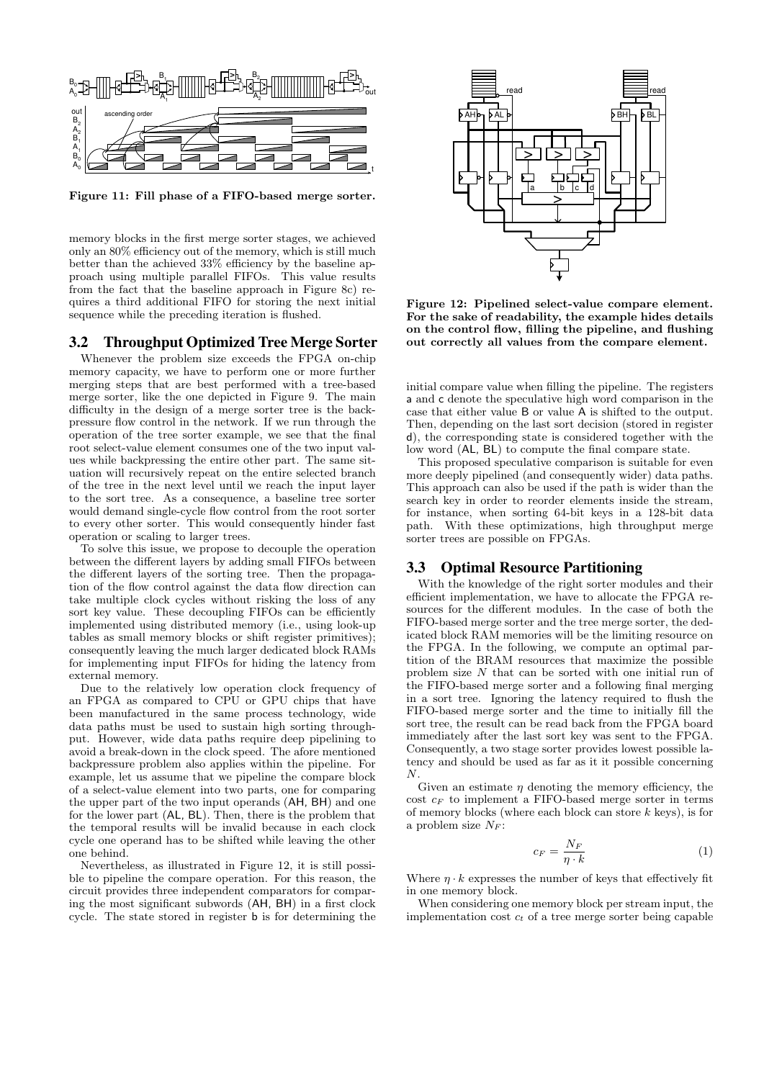

Figure 11: Fill phase of a FIFO-based merge sorter.

memory blocks in the first merge sorter stages, we achieved only an 80% efficiency out of the memory, which is still much better than the achieved 33% efficiency by the baseline approach using multiple parallel FIFOs. This value results from the fact that the baseline approach in Figure 8c) requires a third additional FIFO for storing the next initial sequence while the preceding iteration is flushed.

# 3.2 Throughput Optimized Tree Merge Sorter

Whenever the problem size exceeds the FPGA on-chip memory capacity, we have to perform one or more further merging steps that are best performed with a tree-based merge sorter, like the one depicted in Figure 9. The main difficulty in the design of a merge sorter tree is the backpressure flow control in the network. If we run through the operation of the tree sorter example, we see that the final root select-value element consumes one of the two input values while backpressing the entire other part. The same situation will recursively repeat on the entire selected branch of the tree in the next level until we reach the input layer to the sort tree. As a consequence, a baseline tree sorter would demand single-cycle flow control from the root sorter to every other sorter. This would consequently hinder fast operation or scaling to larger trees.

To solve this issue, we propose to decouple the operation between the different layers by adding small FIFOs between the different layers of the sorting tree. Then the propagation of the flow control against the data flow direction can take multiple clock cycles without risking the loss of any sort key value. These decoupling FIFOs can be efficiently implemented using distributed memory (i.e., using look-up tables as small memory blocks or shift register primitives); consequently leaving the much larger dedicated block RAMs for implementing input FIFOs for hiding the latency from external memory.

Due to the relatively low operation clock frequency of an FPGA as compared to CPU or GPU chips that have been manufactured in the same process technology, wide data paths must be used to sustain high sorting throughput. However, wide data paths require deep pipelining to avoid a break-down in the clock speed. The afore mentioned backpressure problem also applies within the pipeline. For example, let us assume that we pipeline the compare block of a select-value element into two parts, one for comparing the upper part of the two input operands (AH, BH) and one for the lower part (AL, BL). Then, there is the problem that the temporal results will be invalid because in each clock cycle one operand has to be shifted while leaving the other one behind.

Nevertheless, as illustrated in Figure 12, it is still possible to pipeline the compare operation. For this reason, the circuit provides three independent comparators for comparing the most significant subwords (AH, BH) in a first clock cycle. The state stored in register b is for determining the



Figure 12: Pipelined select-value compare element. For the sake of readability, the example hides details on the control flow, filling the pipeline, and flushing out correctly all values from the compare element.

initial compare value when filling the pipeline. The registers a and c denote the speculative high word comparison in the case that either value B or value A is shifted to the output. Then, depending on the last sort decision (stored in register d), the corresponding state is considered together with the low word (AL, BL) to compute the final compare state.

This proposed speculative comparison is suitable for even more deeply pipelined (and consequently wider) data paths. This approach can also be used if the path is wider than the search key in order to reorder elements inside the stream, for instance, when sorting 64-bit keys in a 128-bit data path. With these optimizations, high throughput merge sorter trees are possible on FPGAs.

## 3.3 Optimal Resource Partitioning

With the knowledge of the right sorter modules and their efficient implementation, we have to allocate the FPGA resources for the different modules. In the case of both the FIFO-based merge sorter and the tree merge sorter, the dedicated block RAM memories will be the limiting resource on the FPGA. In the following, we compute an optimal partition of the BRAM resources that maximize the possible problem size N that can be sorted with one initial run of the FIFO-based merge sorter and a following final merging in a sort tree. Ignoring the latency required to flush the FIFO-based merge sorter and the time to initially fill the sort tree, the result can be read back from the FPGA board immediately after the last sort key was sent to the FPGA. Consequently, a two stage sorter provides lowest possible latency and should be used as far as it it possible concerning  $N$ .

Given an estimate  $\eta$  denoting the memory efficiency, the cost  $c_F$  to implement a FIFO-based merge sorter in terms of memory blocks (where each block can store  $k$  keys), is for a problem size  $N_F$ :

$$
c_F = \frac{N_F}{\eta \cdot k} \tag{1}
$$

Where  $n \cdot k$  expresses the number of keys that effectively fit in one memory block.

When considering one memory block per stream input, the implementation cost  $c_t$  of a tree merge sorter being capable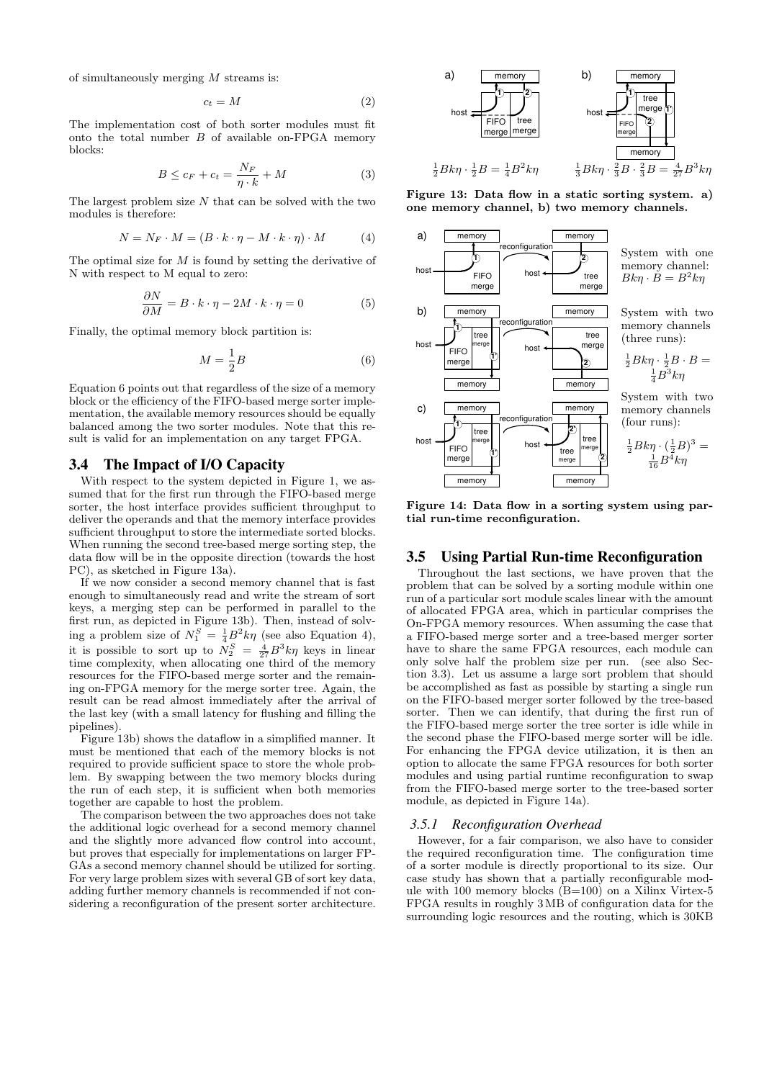of simultaneously merging  $M$  streams is:

$$
c_t = M \tag{2}
$$

The implementation cost of both sorter modules must fit onto the total number B of available on-FPGA memory blocks:

$$
B \le c_F + c_t = \frac{N_F}{\eta \cdot k} + M \tag{3}
$$

The largest problem size  $N$  that can be solved with the two modules is therefore:

$$
N = N_F \cdot M = (B \cdot k \cdot \eta - M \cdot k \cdot \eta) \cdot M \tag{4}
$$

The optimal size for  $M$  is found by setting the derivative of N with respect to M equal to zero:

$$
\frac{\partial N}{\partial M} = B \cdot k \cdot \eta - 2M \cdot k \cdot \eta = 0 \tag{5}
$$

Finally, the optimal memory block partition is:

$$
M = \frac{1}{2}B\tag{6}
$$

Equation 6 points out that regardless of the size of a memory block or the efficiency of the FIFO-based merge sorter implementation, the available memory resources should be equally balanced among the two sorter modules. Note that this result is valid for an implementation on any target FPGA.

## 3.4 The Impact of I/O Capacity

With respect to the system depicted in Figure 1, we assumed that for the first run through the FIFO-based merge sorter, the host interface provides sufficient throughput to deliver the operands and that the memory interface provides sufficient throughput to store the intermediate sorted blocks. When running the second tree-based merge sorting step, the data flow will be in the opposite direction (towards the host PC), as sketched in Figure 13a).

If we now consider a second memory channel that is fast enough to simultaneously read and write the stream of sort keys, a merging step can be performed in parallel to the first run, as depicted in Figure 13b). Then, instead of solving a problem size of  $N_1^S = \frac{1}{4}B^2 k\eta$  (see also Equation 4), it is possible to sort up to  $N_2^S = \frac{4}{27}B^3k\eta$  keys in linear time complexity, when allocating one third of the memory resources for the FIFO-based merge sorter and the remaining on-FPGA memory for the merge sorter tree. Again, the result can be read almost immediately after the arrival of the last key (with a small latency for flushing and filling the pipelines).

Figure 13b) shows the dataflow in a simplified manner. It must be mentioned that each of the memory blocks is not required to provide sufficient space to store the whole problem. By swapping between the two memory blocks during the run of each step, it is sufficient when both memories together are capable to host the problem.

The comparison between the two approaches does not take the additional logic overhead for a second memory channel and the slightly more advanced flow control into account, but proves that especially for implementations on larger FP-GAs a second memory channel should be utilized for sorting. For very large problem sizes with several GB of sort key data, adding further memory channels is recommended if not considering a reconfiguration of the present sorter architecture.



Figure 13: Data flow in a static sorting system. a) one memory channel, b) two memory channels.



Figure 14: Data flow in a sorting system using partial run-time reconfiguration.

#### 3.5 Using Partial Run-time Reconfiguration

Throughout the last sections, we have proven that the problem that can be solved by a sorting module within one run of a particular sort module scales linear with the amount of allocated FPGA area, which in particular comprises the On-FPGA memory resources. When assuming the case that a FIFO-based merge sorter and a tree-based merger sorter have to share the same FPGA resources, each module can only solve half the problem size per run. (see also Section 3.3). Let us assume a large sort problem that should be accomplished as fast as possible by starting a single run on the FIFO-based merger sorter followed by the tree-based sorter. Then we can identify, that during the first run of the FIFO-based merge sorter the tree sorter is idle while in the second phase the FIFO-based merge sorter will be idle. For enhancing the FPGA device utilization, it is then an option to allocate the same FPGA resources for both sorter modules and using partial runtime reconfiguration to swap from the FIFO-based merge sorter to the tree-based sorter module, as depicted in Figure 14a).

## *3.5.1 Reconfiguration Overhead*

However, for a fair comparison, we also have to consider the required reconfiguration time. The configuration time of a sorter module is directly proportional to its size. Our case study has shown that a partially reconfigurable module with 100 memory blocks (B=100) on a Xilinx Virtex-5 FPGA results in roughly 3 MB of configuration data for the surrounding logic resources and the routing, which is 30KB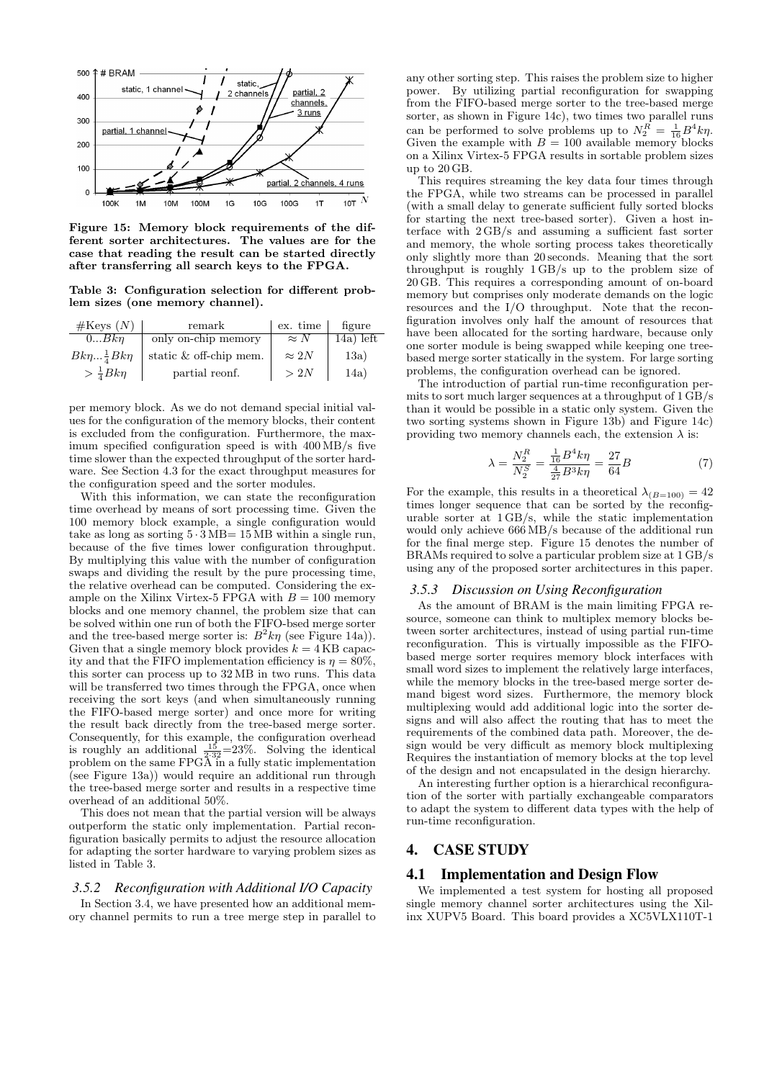

Figure 15: Memory block requirements of the different sorter architectures. The values are for the case that reading the result can be started directly after transferring all search keys to the FPGA.

Table 3: Configuration selection for different problem sizes (one memory channel).

| #Keys(N)                         | remark                 | ex. time     | figure      |
|----------------------------------|------------------------|--------------|-------------|
| 0Bkn                             | only on-chip memory    | $\approx N$  | $14a)$ left |
| $Bk\eta \dots \frac{1}{4}Bk\eta$ | static & off-chip mem. | $\approx 2N$ | 13a)        |
| $>\frac{1}{4}Bk\eta$             | partial reonf.         | >2N          | 14a)        |

per memory block. As we do not demand special initial values for the configuration of the memory blocks, their content is excluded from the configuration. Furthermore, the maximum specified configuration speed is with 400 MB/s five time slower than the expected throughput of the sorter hardware. See Section 4.3 for the exact throughput measures for the configuration speed and the sorter modules.

With this information, we can state the reconfiguration time overhead by means of sort processing time. Given the 100 memory block example, a single configuration would take as long as sorting  $5 \cdot 3 \text{ MB} = 15 \text{ MB}$  within a single run, because of the five times lower configuration throughput. By multiplying this value with the number of configuration swaps and dividing the result by the pure processing time, the relative overhead can be computed. Considering the example on the Xilinx Virtex-5 FPGA with  $B = 100$  memory blocks and one memory channel, the problem size that can be solved within one run of both the FIFO-bsed merge sorter and the tree-based merge sorter is:  $B^2 k \eta$  (see Figure 14a)). Given that a single memory block provides  $k = 4$  KB capacity and that the FIFO implementation efficiency is  $\eta = 80\%$ , this sorter can process up to 32 MB in two runs. This data will be transferred two times through the FPGA, once when receiving the sort keys (and when simultaneously running the FIFO-based merge sorter) and once more for writing the result back directly from the tree-based merge sorter. Consequently, for this example, the configuration overhead is roughly an additional  $\frac{15}{2^{3}2}$  = 23%. Solving the identical problem on the same FPGA in a fully static implementation (see Figure 13a)) would require an additional run through the tree-based merge sorter and results in a respective time overhead of an additional 50%.

This does not mean that the partial version will be always outperform the static only implementation. Partial reconfiguration basically permits to adjust the resource allocation for adapting the sorter hardware to varying problem sizes as listed in Table 3.

## *3.5.2 Reconfiguration with Additional I/O Capacity*

In Section 3.4, we have presented how an additional memory channel permits to run a tree merge step in parallel to

any other sorting step. This raises the problem size to higher power. By utilizing partial reconfiguration for swapping from the FIFO-based merge sorter to the tree-based merge sorter, as shown in Figure 14c), two times two parallel runs can be performed to solve problems up to  $N_2^R = \frac{1}{16} B^4 k \eta$ . Given the example with  $B = 100$  available memory blocks on a Xilinx Virtex-5 FPGA results in sortable problem sizes up to 20 GB.

This requires streaming the key data four times through the FPGA, while two streams can be processed in parallel (with a small delay to generate sufficient fully sorted blocks for starting the next tree-based sorter). Given a host interface with 2 GB/s and assuming a sufficient fast sorter and memory, the whole sorting process takes theoretically only slightly more than 20 seconds. Meaning that the sort throughput is roughly 1 GB/s up to the problem size of 20 GB. This requires a corresponding amount of on-board memory but comprises only moderate demands on the logic resources and the I/O throughput. Note that the reconfiguration involves only half the amount of resources that have been allocated for the sorting hardware, because only one sorter module is being swapped while keeping one treebased merge sorter statically in the system. For large sorting problems, the configuration overhead can be ignored.

The introduction of partial run-time reconfiguration permits to sort much larger sequences at a throughput of 1 GB/s than it would be possible in a static only system. Given the two sorting systems shown in Figure 13b) and Figure 14c) providing two memory channels each, the extension  $\lambda$  is:

$$
\lambda = \frac{N_2^R}{N_2^S} = \frac{\frac{1}{16}B^4k\eta}{\frac{4}{27}B^3k\eta} = \frac{27}{64}B\tag{7}
$$

For the example, this results in a theoretical  $\lambda_{(B=100)} = 42$ times longer sequence that can be sorted by the reconfigurable sorter at 1 GB/s, while the static implementation would only achieve 666 MB/s because of the additional run for the final merge step. Figure 15 denotes the number of BRAMs required to solve a particular problem size at 1 GB/s using any of the proposed sorter architectures in this paper.

#### *3.5.3 Discussion on Using Reconfiguration*

As the amount of BRAM is the main limiting FPGA resource, someone can think to multiplex memory blocks between sorter architectures, instead of using partial run-time reconfiguration. This is virtually impossible as the FIFObased merge sorter requires memory block interfaces with small word sizes to implement the relatively large interfaces, while the memory blocks in the tree-based merge sorter demand bigest word sizes. Furthermore, the memory block multiplexing would add additional logic into the sorter designs and will also affect the routing that has to meet the requirements of the combined data path. Moreover, the design would be very difficult as memory block multiplexing Requires the instantiation of memory blocks at the top level of the design and not encapsulated in the design hierarchy.

An interesting further option is a hierarchical reconfiguration of the sorter with partially exchangeable comparators to adapt the system to different data types with the help of run-time reconfiguration.

# 4. CASE STUDY

## 4.1 Implementation and Design Flow

We implemented a test system for hosting all proposed single memory channel sorter architectures using the Xilinx XUPV5 Board. This board provides a XC5VLX110T-1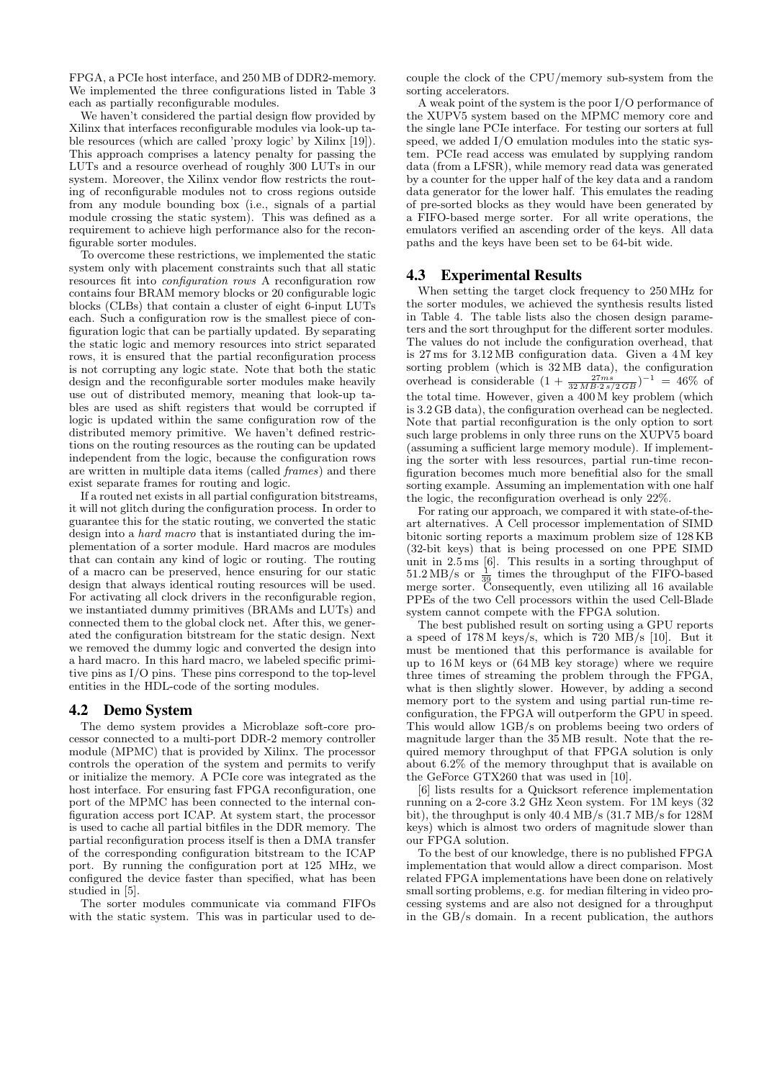FPGA, a PCIe host interface, and 250 MB of DDR2-memory. We implemented the three configurations listed in Table 3 each as partially reconfigurable modules.

We haven't considered the partial design flow provided by Xilinx that interfaces reconfigurable modules via look-up table resources (which are called 'proxy logic' by Xilinx [19]). This approach comprises a latency penalty for passing the LUTs and a resource overhead of roughly 300 LUTs in our system. Moreover, the Xilinx vendor flow restricts the routing of reconfigurable modules not to cross regions outside from any module bounding box (i.e., signals of a partial module crossing the static system). This was defined as a requirement to achieve high performance also for the reconfigurable sorter modules.

To overcome these restrictions, we implemented the static system only with placement constraints such that all static resources fit into configuration rows A reconfiguration row contains four BRAM memory blocks or 20 configurable logic blocks (CLBs) that contain a cluster of eight 6-input LUTs each. Such a configuration row is the smallest piece of configuration logic that can be partially updated. By separating the static logic and memory resources into strict separated rows, it is ensured that the partial reconfiguration process is not corrupting any logic state. Note that both the static design and the reconfigurable sorter modules make heavily use out of distributed memory, meaning that look-up tables are used as shift registers that would be corrupted if logic is updated within the same configuration row of the distributed memory primitive. We haven't defined restrictions on the routing resources as the routing can be updated independent from the logic, because the configuration rows are written in multiple data items (called frames) and there exist separate frames for routing and logic.

If a routed net exists in all partial configuration bitstreams, it will not glitch during the configuration process. In order to guarantee this for the static routing, we converted the static design into a hard macro that is instantiated during the implementation of a sorter module. Hard macros are modules that can contain any kind of logic or routing. The routing of a macro can be preserved, hence ensuring for our static design that always identical routing resources will be used. For activating all clock drivers in the reconfigurable region, we instantiated dummy primitives (BRAMs and LUTs) and connected them to the global clock net. After this, we generated the configuration bitstream for the static design. Next we removed the dummy logic and converted the design into a hard macro. In this hard macro, we labeled specific primitive pins as I/O pins. These pins correspond to the top-level entities in the HDL-code of the sorting modules.

# 4.2 Demo System

The demo system provides a Microblaze soft-core processor connected to a multi-port DDR-2 memory controller module (MPMC) that is provided by Xilinx. The processor controls the operation of the system and permits to verify or initialize the memory. A PCIe core was integrated as the host interface. For ensuring fast FPGA reconfiguration, one port of the MPMC has been connected to the internal configuration access port ICAP. At system start, the processor is used to cache all partial bitfiles in the DDR memory. The partial reconfiguration process itself is then a DMA transfer of the corresponding configuration bitstream to the ICAP port. By running the configuration port at 125 MHz, we configured the device faster than specified, what has been studied in [5].

The sorter modules communicate via command FIFOs with the static system. This was in particular used to de-

couple the clock of the CPU/memory sub-system from the sorting accelerators.

A weak point of the system is the poor I/O performance of the XUPV5 system based on the MPMC memory core and the single lane PCIe interface. For testing our sorters at full speed, we added I/O emulation modules into the static system. PCIe read access was emulated by supplying random data (from a LFSR), while memory read data was generated by a counter for the upper half of the key data and a random data generator for the lower half. This emulates the reading of pre-sorted blocks as they would have been generated by a FIFO-based merge sorter. For all write operations, the emulators verified an ascending order of the keys. All data paths and the keys have been set to be 64-bit wide.

## 4.3 Experimental Results

When setting the target clock frequency to 250 MHz for the sorter modules, we achieved the synthesis results listed in Table 4. The table lists also the chosen design parameters and the sort throughput for the different sorter modules. The values do not include the configuration overhead, that is 27 ms for 3.12 MB configuration data. Given a 4 M key sorting problem (which is 32 MB data), the configuration overhead is considerable  $(1 + \frac{27ms}{32 MB \cdot 2 s/2 GB})^{-1} = 46\%$  of the total time. However, given a 400 M key problem (which is 3.2 GB data), the configuration overhead can be neglected. Note that partial reconfiguration is the only option to sort such large problems in only three runs on the XUPV5 board (assuming a sufficient large memory module). If implementing the sorter with less resources, partial run-time reconfiguration becomes much more benefitial also for the small sorting example. Assuming an implementation with one half the logic, the reconfiguration overhead is only 22%.

For rating our approach, we compared it with state-of-theart alternatives. A Cell processor implementation of SIMD bitonic sorting reports a maximum problem size of 128 KB (32-bit keys) that is being processed on one PPE SIMD unit in 2.5 ms [6]. This results in a sorting throughput of 51.2 MB/s or  $\frac{1}{39}$  times the throughput of the FIFO-based merge sorter. Consequently, even utilizing all 16 available PPEs of the two Cell processors within the used Cell-Blade system cannot compete with the FPGA solution.

The best published result on sorting using a GPU reports a speed of  $178 \text{ M}$  keys/s, which is  $720 \text{ MB/s}$  [10]. But it must be mentioned that this performance is available for up to 16 M keys or (64 MB key storage) where we require three times of streaming the problem through the FPGA, what is then slightly slower. However, by adding a second memory port to the system and using partial run-time reconfiguration, the FPGA will outperform the GPU in speed. This would allow 1GB/s on problems beeing two orders of magnitude larger than the  $35 \text{ MB}$  result. Note that the required memory throughput of that FPGA solution is only about 6.2% of the memory throughput that is available on the GeForce GTX260 that was used in [10].

[6] lists results for a Quicksort reference implementation running on a 2-core 3.2 GHz Xeon system. For 1M keys (32 bit), the throughput is only 40.4 MB/s (31.7 MB/s for 128M keys) which is almost two orders of magnitude slower than our FPGA solution.

To the best of our knowledge, there is no published FPGA implementation that would allow a direct comparison. Most related FPGA implementations have been done on relatively small sorting problems, e.g. for median filtering in video processing systems and are also not designed for a throughput in the GB/s domain. In a recent publication, the authors